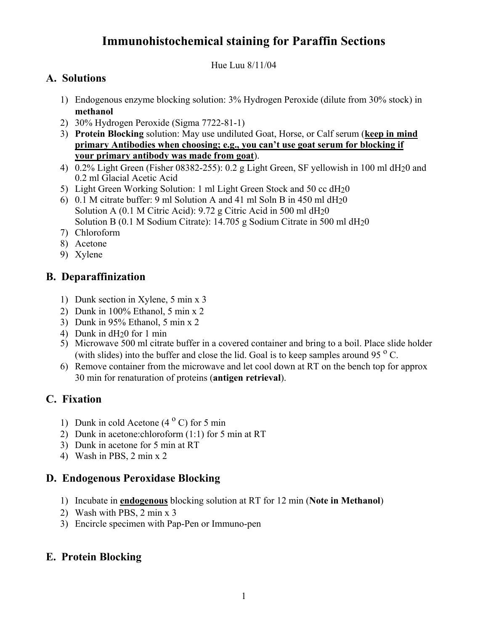# **Immunohistochemical staining for Paraffin Sections**

Hue Luu 8/11/04

#### **A. Solutions**

- 1) Endogenous enzyme blocking solution: 3% Hydrogen Peroxide (dilute from 30% stock) in **methanol**
- 2) 30% Hydrogen Peroxide (Sigma 7722-81-1)
- 3) **Protein Blocking** solution: May use undiluted Goat, Horse, or Calf serum (**keep in mind primary Antibodies when choosing; e.g., you can't use goat serum for blocking if your primary antibody was made from goat**).
- 4) 0.2% Light Green (Fisher 08382-255): 0.2 g Light Green, SF yellowish in 100 ml dH20 and 0.2 ml Glacial Acetic Acid
- 5) Light Green Working Solution: 1 ml Light Green Stock and 50 cc dH20
- 6) 0.1 M citrate buffer: 9 ml Solution A and 41 ml Soln B in 450 ml dH20 Solution A (0.1 M Citric Acid): 9.72 g Citric Acid in 500 ml dH20 Solution B (0.1 M Sodium Citrate): 14.705 g Sodium Citrate in 500 ml dH20
- 7) Chloroform
- 8) Acetone
- 9) Xylene

#### **B. Deparaffinization**

- 1) Dunk section in Xylene, 5 min x 3
- 2) Dunk in 100% Ethanol, 5 min x 2
- 3) Dunk in 95% Ethanol, 5 min x 2
- 4) Dunk in dH20 for 1 min
- 5) Microwave 500 ml citrate buffer in a covered container and bring to a boil. Place slide holder (with slides) into the buffer and close the lid. Goal is to keep samples around 95 $^{\circ}$  C.
- 6) Remove container from the microwave and let cool down at RT on the bench top for approx 30 min for renaturation of proteins (**antigen retrieval**).

### **C. Fixation**

- 1) Dunk in cold Acetone  $(4^{\circ} C)$  for 5 min
- 2) Dunk in acetone:chloroform (1:1) for 5 min at RT
- 3) Dunk in acetone for 5 min at RT
- 4) Wash in PBS, 2 min x 2

### **D. Endogenous Peroxidase Blocking**

- 1) Incubate in **endogenous** blocking solution at RT for 12 min (**Note in Methanol**)
- 2) Wash with PBS, 2 min x 3
- 3) Encircle specimen with Pap-Pen or Immuno-pen

### **E. Protein Blocking**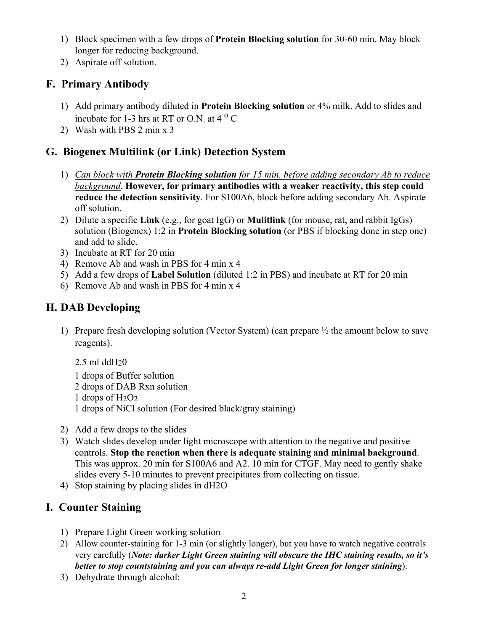- 1) Block specimen with a few drops of **Protein Blocking solution** for 30-60 min. May block longer for reducing background.
- 2) Aspirate off solution.

### **F. Primary Antibody**

- 1) Add primary antibody diluted in **Protein Blocking solution** or 4% milk. Add to slides and incubate for 1-3 hrs at RT or O.N. at  $4^{\circ}$  C
- 2) Wash with PBS 2 min x 3

### **G. Biogenex Multilink (or Link) Detection System**

- 1) *Can block with Protein Blocking solution for 15 min. before adding secondary Ab to reduce background*. **However, for primary antibodies with a weaker reactivity, this step could reduce the detection sensitivity**. For S100A6, block before adding secondary Ab. Aspirate off solution.
- 2) Dilute a specific **Link** (e.g., for goat IgG) or **Mulitlink** (for mouse, rat, and rabbit IgGs) solution (Biogenex) 1:2 in **Protein Blocking solution** (or PBS if blocking done in step one) and add to slide.
- 3) Incubate at RT for 20 min
- 4) Remove Ab and wash in PBS for 4 min x 4
- 5) Add a few drops of **Label Solution** (diluted 1:2 in PBS) and incubate at RT for 20 min
- 6) Remove Ab and wash in PBS for 4 min x 4

## **H. DAB Developing**

- 1) Prepare fresh developing solution (Vector System) (can prepare ½ the amount below to save reagents).
	- 2.5 ml ddH20 1 drops of Buffer solution 2 drops of DAB Rxn solution 1 drops of  $H_2O_2$ 1 drops of NiCl solution (For desired black/gray staining)
- 2) Add a few drops to the slides
- 3) Watch slides develop under light microscope with attention to the negative and positive controls. **Stop the reaction when there is adequate staining and minimal background**. This was approx. 20 min for S100A6 and A2. 10 min for CTGF. May need to gently shake slides every 5-10 minutes to prevent precipitates from collecting on tissue.
- 4) Stop staining by placing slides in dH2O

## **I. Counter Staining**

- 1) Prepare Light Green working solution
- 2) Allow counter-staining for 1-3 min (or slightly longer), but you have to watch negative controls very carefully (*Note: darker Light Green staining will obscure the IHC staining results, so it's better to stop countstaining and you can always re-add Light Green for longer staining*).
- 3) Dehydrate through alcohol: